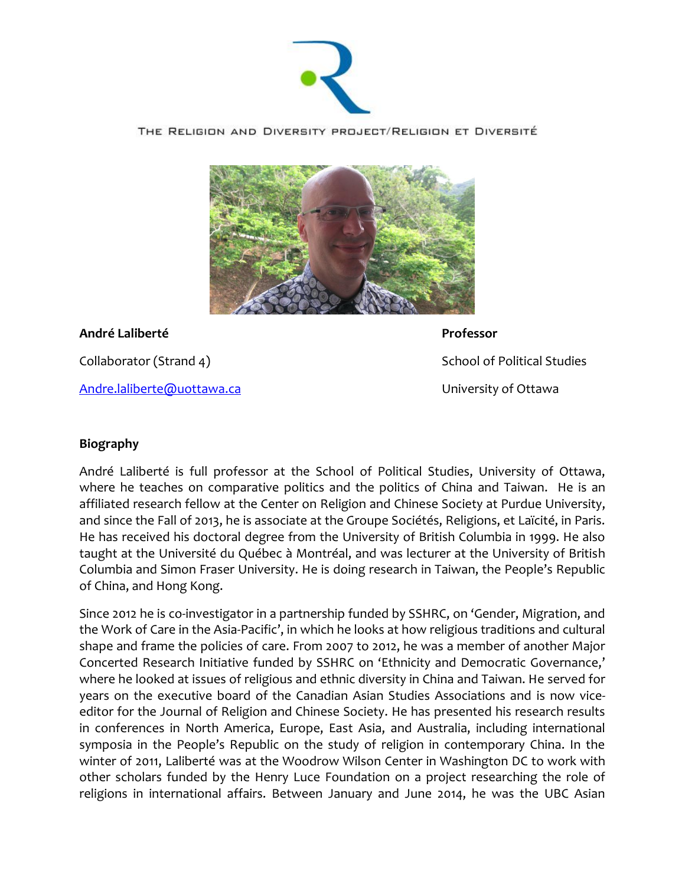

THE RELIGION AND DIVERSITY PROJECT/RELIGION ET DIVERSITÉ



**André Laliberté Professor**

Collaborator (Strand 4) **School of Political Studies** School of Political Studies [Andre.laliberte@uottawa.ca](mailto:Andre.laliberte@uottawa.ca) and the University of Ottawa

## **Biography**

André Laliberté is full professor at the School of Political Studies, University of Ottawa, where he teaches on comparative politics and the politics of China and Taiwan. He is an affiliated research fellow at the Center on Religion and Chinese Society at Purdue University, and since the Fall of 2013, he is associate at the Groupe Sociétés, Religions, et Laïcité, in Paris. He has received his doctoral degree from the University of British Columbia in 1999. He also taught at the Université du Québec à Montréal, and was lecturer at the University of British Columbia and Simon Fraser University. He is doing research in Taiwan, the People's Republic of China, and Hong Kong.

Since 2012 he is co-investigator in a partnership funded by SSHRC, on 'Gender, Migration, and the Work of Care in the Asia-Pacific', in which he looks at how religious traditions and cultural shape and frame the policies of care. From 2007 to 2012, he was a member of another Major Concerted Research Initiative funded by SSHRC on 'Ethnicity and Democratic Governance,' where he looked at issues of religious and ethnic diversity in China and Taiwan. He served for years on the executive board of the Canadian Asian Studies Associations and is now viceeditor for the Journal of Religion and Chinese Society. He has presented his research results in conferences in North America, Europe, East Asia, and Australia, including international symposia in the People's Republic on the study of religion in contemporary China. In the winter of 2011, Laliberté was at the Woodrow Wilson Center in Washington DC to work with other scholars funded by the Henry Luce Foundation on a project researching the role of religions in international affairs. Between January and June 2014, he was the UBC Asian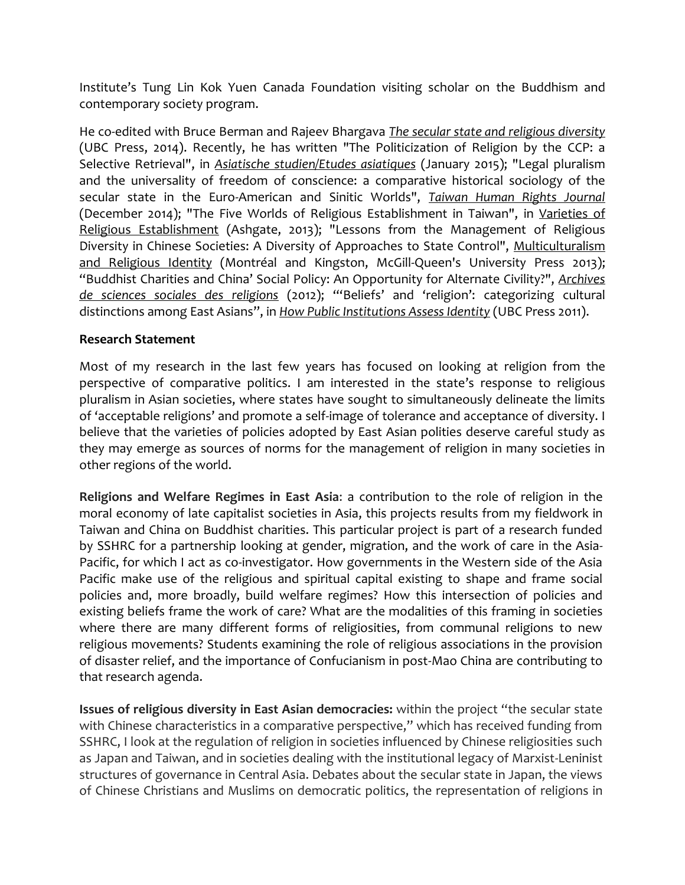Institute's Tung Lin Kok Yuen Canada Foundation visiting scholar on the Buddhism and contemporary society program.

He co-edited with Bruce Berman and Rajeev Bhargava *The secular state and religious diversity* (UBC Press, 2014). Recently, he has written "The Politicization of Religion by the CCP: a Selective Retrieval", in *Asiatische studien/Etudes asiatiques* (January 2015); "Legal pluralism and the universality of freedom of conscience: a comparative historical sociology of the secular state in the Euro-American and Sinitic Worlds", *Taiwan Human Rights Journal* (December 2014); "The Five Worlds of Religious Establishment in Taiwan", in Varieties of Religious Establishment (Ashgate, 2013); "Lessons from the Management of Religious Diversity in Chinese Societies: A Diversity of Approaches to State Control", Multiculturalism and Religious Identity (Montréal and Kingston, McGill-Queen's University Press 2013); "Buddhist Charities and China' Social Policy: An Opportunity for Alternate Civility?", *Archives de sciences sociales des religions* (2012); "'Beliefs' and 'religion': categorizing cultural distinctions among East Asians", in *How Public Institutions Assess Identity* (UBC Press 2011).

## **Research Statement**

Most of my research in the last few years has focused on looking at religion from the perspective of comparative politics. I am interested in the state's response to religious pluralism in Asian societies, where states have sought to simultaneously delineate the limits of 'acceptable religions' and promote a self-image of tolerance and acceptance of diversity. I believe that the varieties of policies adopted by East Asian polities deserve careful study as they may emerge as sources of norms for the management of religion in many societies in other regions of the world.

**Religions and Welfare Regimes in East Asia**: a contribution to the role of religion in the moral economy of late capitalist societies in Asia, this projects results from my fieldwork in Taiwan and China on Buddhist charities. This particular project is part of a research funded by SSHRC for a partnership looking at gender, migration, and the work of care in the Asia-Pacific, for which I act as co-investigator. How governments in the Western side of the Asia Pacific make use of the religious and spiritual capital existing to shape and frame social policies and, more broadly, build welfare regimes? How this intersection of policies and existing beliefs frame the work of care? What are the modalities of this framing in societies where there are many different forms of religiosities, from communal religions to new religious movements? Students examining the role of religious associations in the provision of disaster relief, and the importance of Confucianism in post-Mao China are contributing to that research agenda.

**Issues of religious diversity in East Asian democracies:** within the project "the secular state with Chinese characteristics in a comparative perspective," which has received funding from SSHRC, I look at the regulation of religion in societies influenced by Chinese religiosities such as Japan and Taiwan, and in societies dealing with the institutional legacy of Marxist-Leninist structures of governance in Central Asia. Debates about the secular state in Japan, the views of Chinese Christians and Muslims on democratic politics, the representation of religions in